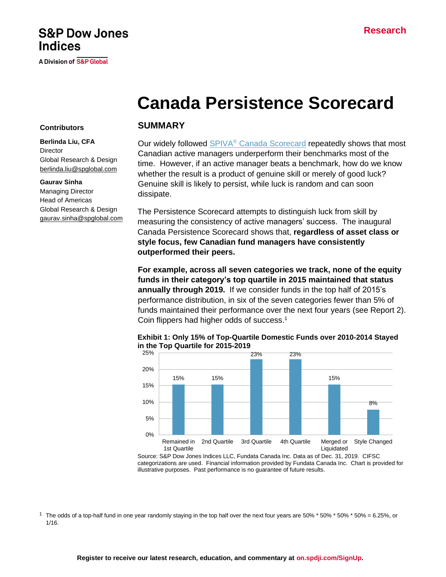# **S&P Dow Jones Indices**

A Division of S&P Global

# **Canada Persistence Scorecard**

#### **Contributors**

**Berlinda Liu, CFA Director** Global Research & Design [berlinda.liu@spglobal.com](mailto:berlinda.liu@spglobal.com)

#### **Gaurav Sinha**

Managing Director Head of Americas Global Research & Design [gaurav.sinha@spglobal.com](mailto:gaurav.sinha@spglobal.com)

#### **SUMMARY**

Our widely followed SPIVA® [Canada Scorecard](https://www.spglobal.com/spdji/en/documents/spiva/spiva-canada-scorecard-year-end-2019.pdf) repeatedly shows that most Canadian active managers underperform their benchmarks most of the time. However, if an active manager beats a benchmark, how do we know whether the result is a product of genuine skill or merely of good luck? Genuine skill is likely to persist, while luck is random and can soon dissipate.

The Persistence Scorecard attempts to distinguish luck from skill by measuring the consistency of active managers' success. The inaugural Canada Persistence Scorecard shows that, **regardless of asset class or style focus, few Canadian fund managers have consistently outperformed their peers.**

**For example, across all seven categories we track, none of the equity funds in their category's top quartile in 2015 maintained that status annually through 2019.** If we consider funds in the top half of 2015's performance distribution, in six of the seven categories fewer than 5% of funds maintained their performance over the next four years (see Report 2). Coin flippers had higher odds of success. 1



#### **Exhibit 1: Only 15% of Top-Quartile Domestic Funds over 2010-2014 Stayed in the Top Quartile for 2015-2019**

Source: S&P Dow Jones Indices LLC, Fundata Canada Inc. Data as of Dec. 31, 2019. CIFSC categorizations are used. Financial information provided by Fundata Canada Inc. Chart is provided for illustrative purposes. Past performance is no guarantee of future results.

<sup>1</sup> The odds of a top-half fund in one year randomly staying in the top half over the next four years are 50% \* 50% \* 50% \* 50% = 6.25%, or 1/16.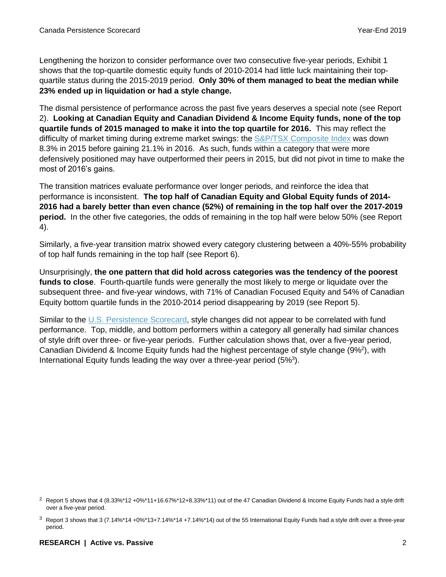Lengthening the horizon to consider performance over two consecutive five-year periods, Exhibit 1 shows that the top-quartile domestic equity funds of 2010-2014 had little luck maintaining their topquartile status during the 2015-2019 period. **Only 30% of them managed to beat the median while 23% ended up in liquidation or had a style change.** 

The dismal persistence of performance across the past five years deserves a special note (see Report 2). **Looking at Canadian Equity and Canadian Dividend & Income Equity funds, none of the top quartile funds of 2015 managed to make it into the top quartile for 2016.** This may reflect the difficulty of market timing during extreme market swings: the [S&P/TSX Composite](https://www.spglobal.com/spdji/en/indices/equity/sp-tsx-composite-index/#overview) Index was down 8.3% in 2015 before gaining 21.1% in 2016. As such, funds within a category that were more defensively positioned may have outperformed their peers in 2015, but did not pivot in time to make the most of 2016's gains.

The transition matrices evaluate performance over longer periods, and reinforce the idea that performance is inconsistent. **The top half of Canadian Equity and Global Equity funds of 2014- 2016 had a barely better than even chance (52%) of remaining in the top half over the 2017-2019 period.** In the other five categories, the odds of remaining in the top half were below 50% (see Report 4).

Similarly, a five-year transition matrix showed every category clustering between a 40%-55% probability of top half funds remaining in the top half (see Report 6).

Unsurprisingly, **the one pattern that did hold across categories was the tendency of the poorest funds to close**. Fourth-quartile funds were generally the most likely to merge or liquidate over the subsequent three- and five-year windows, with 71% of Canadian Focused Equity and 54% of Canadian Equity bottom quartile funds in the 2010-2014 period disappearing by 2019 (see Report 5).

Similar to the [U.S. Persistence Scorecard,](https://www.spglobal.com/spdji/en/documents/spiva/persistence-scorecard-year-end-2019.pdf) style changes did not appear to be correlated with fund performance. Top, middle, and bottom performers within a category all generally had similar chances of style drift over three- or five-year periods. Further calculation shows that, over a five-year period, Canadian Dividend & Income Equity funds had the highest percentage of style change (9%<sup>2</sup>), with International Equity funds leading the way over a three-year period (5%<sup>3</sup>).

<sup>&</sup>lt;sup>2</sup> Report 5 shows that 4 (8.33%\*12 +0%\*11+16.67%\*12+8.33%\*11) out of the 47 Canadian Dividend & Income Equity Funds had a style drift over a five-year period.

 $3$  Report 3 shows that 3 (7.14%\*14 +0%\*13+7.14%\*14 +7.14%\*14) out of the 55 International Equity Funds had a style drift over a three-year period.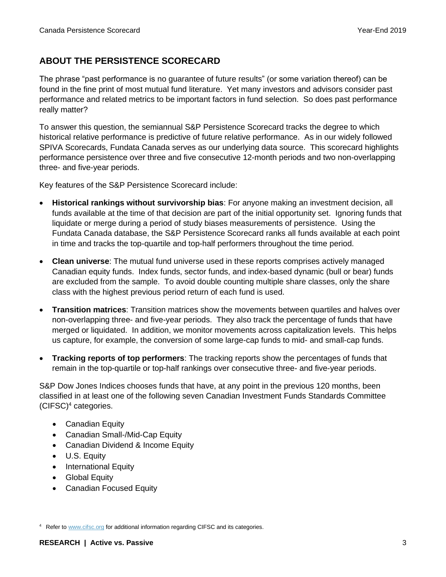## **ABOUT THE PERSISTENCE SCORECARD**

The phrase "past performance is no guarantee of future results" (or some variation thereof) can be found in the fine print of most mutual fund literature. Yet many investors and advisors consider past performance and related metrics to be important factors in fund selection. So does past performance really matter?

To answer this question, the semiannual S&P Persistence Scorecard tracks the degree to which historical relative performance is predictive of future relative performance. As in our widely followed SPIVA Scorecards, Fundata Canada serves as our underlying data source. This scorecard highlights performance persistence over three and five consecutive 12-month periods and two non-overlapping three- and five-year periods.

Key features of the S&P Persistence Scorecard include:

- **Historical rankings without survivorship bias**: For anyone making an investment decision, all funds available at the time of that decision are part of the initial opportunity set. Ignoring funds that liquidate or merge during a period of study biases measurements of persistence. Using the Fundata Canada database, the S&P Persistence Scorecard ranks all funds available at each point in time and tracks the top-quartile and top-half performers throughout the time period.
- **Clean universe**: The mutual fund universe used in these reports comprises actively managed Canadian equity funds. Index funds, sector funds, and index-based dynamic (bull or bear) funds are excluded from the sample. To avoid double counting multiple share classes, only the share class with the highest previous period return of each fund is used.
- **Transition matrices**: Transition matrices show the movements between quartiles and halves over non-overlapping three- and five-year periods. They also track the percentage of funds that have merged or liquidated. In addition, we monitor movements across capitalization levels. This helps us capture, for example, the conversion of some large-cap funds to mid- and small-cap funds.
- **Tracking reports of top performers**: The tracking reports show the percentages of funds that remain in the top-quartile or top-half rankings over consecutive three- and five-year periods.

S&P Dow Jones Indices chooses funds that have, at any point in the previous 120 months, been classified in at least one of the following seven Canadian Investment Funds Standards Committee (CIFSC)<sup>4</sup> categories.

- Canadian Equity
- Canadian Small-/Mid-Cap Equity
- Canadian Dividend & Income Equity
- U.S. Equity
- International Equity
- Global Equity
- Canadian Focused Equity

<sup>4</sup> Refer t[o www.cifsc.org](http://www.cifsc.org/) for additional information regarding CIFSC and its categories.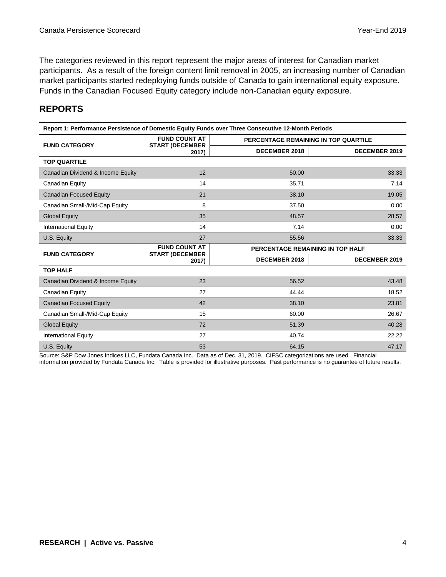The categories reviewed in this report represent the major areas of interest for Canadian market participants. As a result of the foreign content limit removal in 2005, an increasing number of Canadian market participants started redeploying funds outside of Canada to gain international equity exposure. Funds in the Canadian Focused Equity category include non-Canadian equity exposure.

## **REPORTS**

| Report 1: Performance Persistence of Domestic Equity Funds over Three Consecutive 12-Month Periods |                                                |                                      |                      |  |  |  |  |
|----------------------------------------------------------------------------------------------------|------------------------------------------------|--------------------------------------|----------------------|--|--|--|--|
|                                                                                                    | <b>FUND COUNT AT</b>                           | PERCENTAGE REMAINING IN TOP QUARTILE |                      |  |  |  |  |
| <b>FUND CATEGORY</b>                                                                               | <b>START (DECEMBER</b><br>2017)                | <b>DECEMBER 2018</b>                 | <b>DECEMBER 2019</b> |  |  |  |  |
| <b>TOP QUARTILE</b>                                                                                |                                                |                                      |                      |  |  |  |  |
| Canadian Dividend & Income Equity                                                                  | 12                                             | 50.00                                | 33.33                |  |  |  |  |
| Canadian Equity                                                                                    | 14                                             | 35.71                                | 7.14                 |  |  |  |  |
| <b>Canadian Focused Equity</b>                                                                     | 21                                             | 38.10                                | 19.05                |  |  |  |  |
| Canadian Small-/Mid-Cap Equity                                                                     | 8                                              | 37.50                                | 0.00                 |  |  |  |  |
| <b>Global Equity</b>                                                                               | 35                                             | 48.57                                | 28.57                |  |  |  |  |
| <b>International Equity</b>                                                                        | 14                                             | 7.14                                 | 0.00                 |  |  |  |  |
| U.S. Equity                                                                                        | 27                                             | 55.56                                | 33.33                |  |  |  |  |
| <b>FUND CATEGORY</b>                                                                               | <b>FUND COUNT AT</b><br><b>START (DECEMBER</b> | PERCENTAGE REMAINING IN TOP HALF     |                      |  |  |  |  |
|                                                                                                    | 2017)                                          | <b>DECEMBER 2018</b>                 | <b>DECEMBER 2019</b> |  |  |  |  |
| <b>TOP HALF</b>                                                                                    |                                                |                                      |                      |  |  |  |  |
| Canadian Dividend & Income Equity                                                                  | 23                                             | 56.52                                | 43.48                |  |  |  |  |
| Canadian Equity                                                                                    | 27                                             | 44.44                                | 18.52                |  |  |  |  |
| <b>Canadian Focused Equity</b>                                                                     | 42                                             | 38.10                                | 23.81                |  |  |  |  |
| Canadian Small-/Mid-Cap Equity                                                                     | 15                                             | 60.00                                | 26.67                |  |  |  |  |
| <b>Global Equity</b>                                                                               | 72                                             | 51.39                                | 40.28                |  |  |  |  |
| <b>International Equity</b>                                                                        | 27                                             | 40.74                                | 22.22                |  |  |  |  |
| U.S. Equity                                                                                        | 53                                             | 64.15                                | 47.17                |  |  |  |  |

Source: S&P Dow Jones Indices LLC, Fundata Canada Inc. Data as of Dec. 31, 2019. CIFSC categorizations are used. Financial

information provided by Fundata Canada Inc. Table is provided for illustrative purposes. Past performance is no guarantee of future results.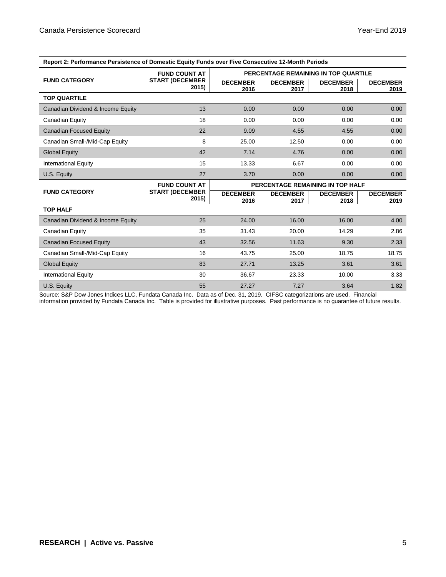| Report 2: Performance Persistence of Domestic Equity Funds over Five Consecutive 12-Month Periods |                                 |                                      |                         |                         |                         |  |
|---------------------------------------------------------------------------------------------------|---------------------------------|--------------------------------------|-------------------------|-------------------------|-------------------------|--|
|                                                                                                   | <b>FUND COUNT AT</b>            | PERCENTAGE REMAINING IN TOP QUARTILE |                         |                         |                         |  |
| <b>FUND CATEGORY</b>                                                                              | <b>START (DECEMBER</b><br>2015) | <b>DECEMBER</b><br>2016              | <b>DECEMBER</b><br>2017 | <b>DECEMBER</b><br>2018 | <b>DECEMBER</b><br>2019 |  |
| <b>TOP QUARTILE</b>                                                                               |                                 |                                      |                         |                         |                         |  |
| Canadian Dividend & Income Equity                                                                 | 13                              | 0.00                                 | 0.00                    | 0.00                    | 0.00                    |  |
| Canadian Equity                                                                                   | 18                              | 0.00                                 | 0.00                    | 0.00                    | 0.00                    |  |
| Canadian Focused Equity                                                                           | 22                              | 9.09                                 | 4.55                    | 4.55                    | 0.00                    |  |
| Canadian Small-/Mid-Cap Equity                                                                    | 8                               | 25.00                                | 12.50                   | 0.00                    | 0.00                    |  |
| <b>Global Equity</b>                                                                              | 42                              | 7.14                                 | 4.76                    | 0.00                    | 0.00                    |  |
| <b>International Equity</b>                                                                       | 15                              | 13.33                                | 6.67                    | 0.00                    | 0.00                    |  |
| U.S. Equity                                                                                       | 27                              | 3.70                                 | 0.00                    | 0.00                    | 0.00                    |  |
|                                                                                                   | <b>FUND COUNT AT</b>            | PERCENTAGE REMAINING IN TOP HALF     |                         |                         |                         |  |
| <b>FUND CATEGORY</b>                                                                              | <b>START (DECEMBER</b><br>2015) | <b>DECEMBER</b><br>2016              | <b>DECEMBER</b><br>2017 | <b>DECEMBER</b><br>2018 | <b>DECEMBER</b><br>2019 |  |
| <b>TOP HALF</b>                                                                                   |                                 |                                      |                         |                         |                         |  |
| Canadian Dividend & Income Equity                                                                 | 25                              | 24.00                                | 16.00                   | 16.00                   | 4.00                    |  |
| Canadian Equity                                                                                   | 35                              | 31.43                                | 20.00                   | 14.29                   | 2.86                    |  |
| <b>Canadian Focused Equity</b>                                                                    | 43                              | 32.56                                | 11.63                   | 9.30                    | 2.33                    |  |
| Canadian Small-/Mid-Cap Equity                                                                    | 16                              | 43.75                                | 25.00                   | 18.75                   | 18.75                   |  |
| <b>Global Equity</b>                                                                              | 83                              | 27.71                                | 13.25                   | 3.61                    | 3.61                    |  |
| <b>International Equity</b>                                                                       | 30                              | 36.67                                | 23.33                   | 10.00                   | 3.33                    |  |
| U.S. Equity                                                                                       | 55                              | 27.27                                | 7.27                    | 3.64                    | 1.82                    |  |

Source: S&P Dow Jones Indices LLC, Fundata Canada Inc. Data as of Dec. 31, 2019. CIFSC categorizations are used. Financial

information provided by Fundata Canada Inc. Table is provided for illustrative purposes. Past performance is no guarantee of future results.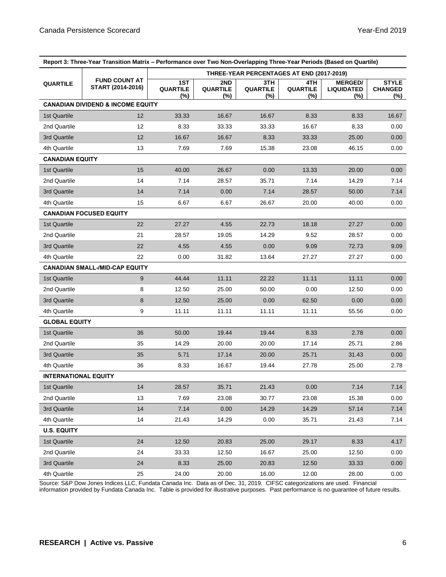| Report 3: Three-Year Transition Matrix – Performance over Two Non-Overlapping Three-Year Periods (Based on Quartile) |                                              |                                           |                               |                               |                               |                                            |                                       |  |
|----------------------------------------------------------------------------------------------------------------------|----------------------------------------------|-------------------------------------------|-------------------------------|-------------------------------|-------------------------------|--------------------------------------------|---------------------------------------|--|
|                                                                                                                      |                                              | THREE-YEAR PERCENTAGES AT END (2017-2019) |                               |                               |                               |                                            |                                       |  |
| <b>QUARTILE</b>                                                                                                      | <b>FUND COUNT AT</b><br>START (2014-2016)    | 1ST<br><b>QUARTILE</b><br>(%)             | 2ND<br><b>QUARTILE</b><br>(%) | 3TH<br><b>QUARTILE</b><br>(%) | 4TH<br><b>QUARTILE</b><br>(%) | <b>MERGED/</b><br><b>LIQUIDATED</b><br>(%) | <b>STYLE</b><br><b>CHANGED</b><br>(%) |  |
|                                                                                                                      | <b>CANADIAN DIVIDEND &amp; INCOME EQUITY</b> |                                           |                               |                               |                               |                                            |                                       |  |
| 1st Quartile                                                                                                         | 12                                           | 33.33                                     | 16.67                         | 16.67                         | 8.33                          | 8.33                                       | 16.67                                 |  |
| 2nd Quartile                                                                                                         | 12                                           | 8.33                                      | 33.33                         | 33.33                         | 16.67                         | 8.33                                       | 0.00                                  |  |
| 3rd Quartile                                                                                                         | 12                                           | 16.67                                     | 16.67                         | 8.33                          | 33.33                         | 25.00                                      | 0.00                                  |  |
| 4th Quartile                                                                                                         | 13                                           | 7.69                                      | 7.69                          | 15.38                         | 23.08                         | 46.15                                      | 0.00                                  |  |
| <b>CANADIAN EQUITY</b>                                                                                               |                                              |                                           |                               |                               |                               |                                            |                                       |  |
| 1st Quartile                                                                                                         | 15                                           | 40.00                                     | 26.67                         | 0.00                          | 13.33                         | 20.00                                      | 0.00                                  |  |
| 2nd Quartile                                                                                                         | 14                                           | 7.14                                      | 28.57                         | 35.71                         | 7.14                          | 14.29                                      | 7.14                                  |  |
| 3rd Quartile                                                                                                         | 14                                           | 7.14                                      | 0.00                          | 7.14                          | 28.57                         | 50.00                                      | 7.14                                  |  |
| 4th Quartile                                                                                                         | 15                                           | 6.67                                      | 6.67                          | 26.67                         | 20.00                         | 40.00                                      | 0.00                                  |  |
|                                                                                                                      | <b>CANADIAN FOCUSED EQUITY</b>               |                                           |                               |                               |                               |                                            |                                       |  |
| 1st Quartile                                                                                                         | 22                                           | 27.27                                     | 4.55                          | 22.73                         | 18.18                         | 27.27                                      | 0.00 <sub>1</sub>                     |  |
| 2nd Quartile                                                                                                         | 21                                           | 28.57                                     | 19.05                         | 14.29                         | 9.52                          | 28.57                                      | 0.00                                  |  |
| 3rd Quartile                                                                                                         | 22                                           | 4.55                                      | 4.55                          | 0.00                          | 9.09                          | 72.73                                      | 9.09                                  |  |
| 4th Quartile                                                                                                         | 22                                           | 0.00                                      | 31.82                         | 13.64                         | 27.27                         | 27.27                                      | 0.00                                  |  |
|                                                                                                                      | <b>CANADIAN SMALL-/MID-CAP EQUITY</b>        |                                           |                               |                               |                               |                                            |                                       |  |
| 1st Quartile                                                                                                         | $9\,$                                        | 44.44                                     | 11.11                         | 22.22                         | 11.11                         | 11.11                                      | 0.00                                  |  |
| 2nd Quartile                                                                                                         | 8                                            | 12.50                                     | 25.00                         | 50.00                         | 0.00                          | 12.50                                      | 0.00                                  |  |
| 3rd Quartile                                                                                                         | 8                                            | 12.50                                     | 25.00                         | 0.00                          | 62.50                         | 0.00                                       | 0.00                                  |  |
| 4th Quartile                                                                                                         | 9                                            | 11.11                                     | 11.11                         | 11.11                         | 11.11                         | 55.56                                      | 0.00                                  |  |
| <b>GLOBAL EQUITY</b>                                                                                                 |                                              |                                           |                               |                               |                               |                                            |                                       |  |
| 1st Quartile                                                                                                         | 36                                           | 50.00                                     | 19.44                         | 19.44                         | 8.33                          | 2.78                                       | 0.00 <sub>1</sub>                     |  |
| 2nd Quartile                                                                                                         | 35                                           | 14.29                                     | 20.00                         | 20.00                         | 17.14                         | 25.71                                      | 2.86                                  |  |
| 3rd Quartile                                                                                                         | 35                                           | 5.71                                      | 17.14                         | 20.00                         | 25.71                         | 31.43                                      | 0.00                                  |  |
| 4th Quartile                                                                                                         | 36                                           | 8.33                                      | 16.67                         | 19.44                         | 27.78                         | 25.00                                      | 2.78                                  |  |
| <b>INTERNATIONAL EQUITY</b>                                                                                          |                                              |                                           |                               |                               |                               |                                            |                                       |  |
| 1st Quartile                                                                                                         | 14                                           | 28.57                                     | 35.71                         | 21.43                         | 0.00                          | 7.14                                       | 7.14                                  |  |
| 2nd Quartile                                                                                                         | 13                                           | 7.69                                      | 23.08                         | 30.77                         | 23.08                         | 15.38                                      | 0.00                                  |  |
| 3rd Quartile                                                                                                         | 14                                           | 7.14                                      | 0.00                          | 14.29                         | 14.29                         | 57.14                                      | 7.14                                  |  |
| 4th Quartile                                                                                                         | 14                                           | 21.43                                     | 14.29                         | 0.00                          | 35.71                         | 21.43                                      | 7.14                                  |  |
| <b>U.S. EQUITY</b>                                                                                                   |                                              |                                           |                               |                               |                               |                                            |                                       |  |
| 1st Quartile                                                                                                         | 24                                           | 12.50                                     | 20.83                         | 25.00                         | 29.17                         | 8.33                                       | 4.17                                  |  |
| 2nd Quartile                                                                                                         | 24                                           | 33.33                                     | 12.50                         | 16.67                         | 25.00                         | 12.50                                      | 0.00                                  |  |
| 3rd Quartile                                                                                                         | 24                                           | 8.33                                      | 25.00                         | 20.83                         | 12.50                         | 33.33                                      | 0.00                                  |  |
| 4th Quartile                                                                                                         | 25                                           | 24.00                                     | 20.00                         | 16.00                         | 12.00                         | 28.00                                      | 0.00                                  |  |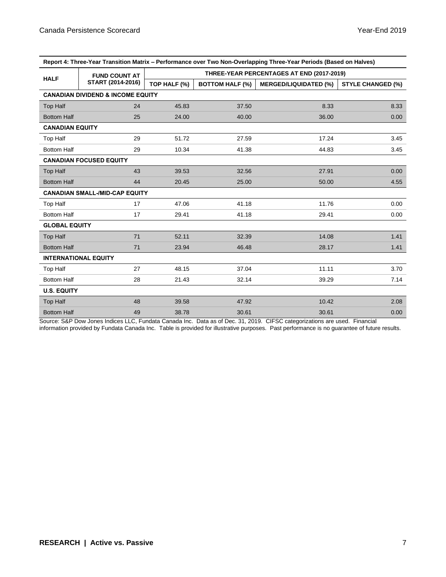| Report 4: Three-Year Transition Matrix – Performance over Two Non-Overlapping Three-Year Periods (Based on Halves) |                                       |                                           |                        |                              |                          |  |  |  |
|--------------------------------------------------------------------------------------------------------------------|---------------------------------------|-------------------------------------------|------------------------|------------------------------|--------------------------|--|--|--|
| <b>FUND COUNT AT</b><br><b>HALF</b>                                                                                |                                       | THREE-YEAR PERCENTAGES AT END (2017-2019) |                        |                              |                          |  |  |  |
|                                                                                                                    | START (2014-2016)                     | TOP HALF (%)                              | <b>BOTTOM HALF (%)</b> | <b>MERGED/LIQUIDATED (%)</b> | <b>STYLE CHANGED (%)</b> |  |  |  |
| <b>CANADIAN DIVIDEND &amp; INCOME EQUITY</b>                                                                       |                                       |                                           |                        |                              |                          |  |  |  |
| <b>Top Half</b>                                                                                                    | 24                                    | 45.83                                     | 37.50                  | 8.33                         | 8.33                     |  |  |  |
| <b>Bottom Half</b>                                                                                                 | 25                                    | 24.00                                     | 40.00                  | 36.00                        | 0.00                     |  |  |  |
| <b>CANADIAN EQUITY</b>                                                                                             |                                       |                                           |                        |                              |                          |  |  |  |
| <b>Top Half</b>                                                                                                    | 29                                    | 51.72                                     | 27.59                  | 17.24                        | 3.45                     |  |  |  |
| <b>Bottom Half</b>                                                                                                 | 29                                    | 10.34                                     | 41.38                  | 44.83                        | 3.45                     |  |  |  |
|                                                                                                                    | <b>CANADIAN FOCUSED EQUITY</b>        |                                           |                        |                              |                          |  |  |  |
| Top Half                                                                                                           | 43                                    | 39.53                                     | 32.56                  | 27.91                        | 0.00                     |  |  |  |
| <b>Bottom Half</b>                                                                                                 | 44                                    | 20.45                                     | 25.00                  | 50.00                        | 4.55                     |  |  |  |
|                                                                                                                    | <b>CANADIAN SMALL-/MID-CAP EQUITY</b> |                                           |                        |                              |                          |  |  |  |
| Top Half                                                                                                           | 17                                    | 47.06                                     | 41.18                  | 11.76                        | 0.00                     |  |  |  |
| <b>Bottom Half</b>                                                                                                 | 17                                    | 29.41                                     | 41.18                  | 29.41                        | 0.00                     |  |  |  |
| <b>GLOBAL EQUITY</b>                                                                                               |                                       |                                           |                        |                              |                          |  |  |  |
| <b>Top Half</b>                                                                                                    | 71                                    | 52.11                                     | 32.39                  | 14.08                        | 1.41                     |  |  |  |
| <b>Bottom Half</b>                                                                                                 | 71                                    | 23.94                                     | 46.48                  | 28.17                        | 1.41                     |  |  |  |
|                                                                                                                    | <b>INTERNATIONAL EQUITY</b>           |                                           |                        |                              |                          |  |  |  |
| Top Half                                                                                                           | 27                                    | 48.15                                     | 37.04                  | 11.11                        | 3.70                     |  |  |  |
| <b>Bottom Half</b>                                                                                                 | 28                                    | 21.43                                     | 32.14                  | 39.29                        | 7.14                     |  |  |  |
| <b>U.S. EQUITY</b>                                                                                                 |                                       |                                           |                        |                              |                          |  |  |  |
| Top Half                                                                                                           | 48                                    | 39.58                                     | 47.92                  | 10.42                        | 2.08                     |  |  |  |
| <b>Bottom Half</b>                                                                                                 | 49                                    | 38.78                                     | 30.61                  | 30.61                        | 0.00                     |  |  |  |

| Report 4: Three-Year Transition Matrix – Performance over Two Non-Overlapping Three-Year Periods (Based on Halves) |
|--------------------------------------------------------------------------------------------------------------------|
|                                                                                                                    |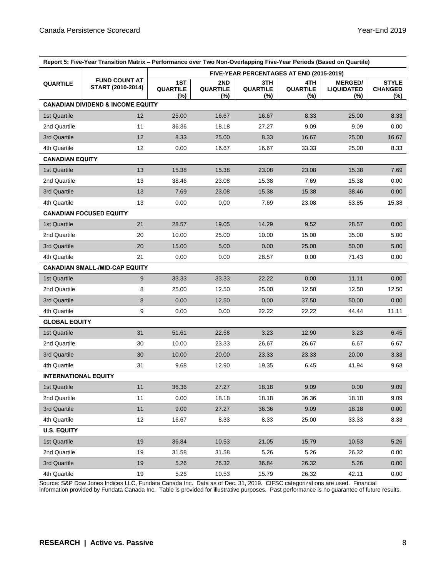| Report 5: Five-Year Transition Matrix – Performance over Two Non-Overlapping Five-Year Periods (Based on Quartile) |                                              |                                          |                               |                               |                               |                                            |                                       |  |
|--------------------------------------------------------------------------------------------------------------------|----------------------------------------------|------------------------------------------|-------------------------------|-------------------------------|-------------------------------|--------------------------------------------|---------------------------------------|--|
|                                                                                                                    | <b>FUND COUNT AT</b><br>START (2010-2014)    | FIVE-YEAR PERCENTAGES AT END (2015-2019) |                               |                               |                               |                                            |                                       |  |
| <b>QUARTILE</b>                                                                                                    |                                              | 1ST<br><b>QUARTILE</b><br>$(\%)$         | 2ND<br><b>QUARTILE</b><br>(%) | 3TH<br><b>QUARTILE</b><br>(%) | 4TH<br><b>QUARTILE</b><br>(%) | <b>MERGED/</b><br><b>LIQUIDATED</b><br>(%) | <b>STYLE</b><br><b>CHANGED</b><br>(%) |  |
|                                                                                                                    | <b>CANADIAN DIVIDEND &amp; INCOME EQUITY</b> |                                          |                               |                               |                               |                                            |                                       |  |
| 1st Quartile                                                                                                       | 12                                           | 25.00                                    | 16.67                         | 16.67                         | 8.33                          | 25.00                                      | 8.33                                  |  |
| 2nd Quartile                                                                                                       | 11                                           | 36.36                                    | 18.18                         | 27.27                         | 9.09                          | 9.09                                       | 0.00                                  |  |
| 3rd Quartile                                                                                                       | 12                                           | 8.33                                     | 25.00                         | 8.33                          | 16.67                         | 25.00                                      | 16.67                                 |  |
| 4th Quartile                                                                                                       | 12                                           | 0.00                                     | 16.67                         | 16.67                         | 33.33                         | 25.00                                      | 8.33                                  |  |
| <b>CANADIAN EQUITY</b>                                                                                             |                                              |                                          |                               |                               |                               |                                            |                                       |  |
| 1st Quartile                                                                                                       | 13                                           | 15.38                                    | 15.38                         | 23.08                         | 23.08                         | 15.38                                      | 7.69                                  |  |
| 2nd Quartile                                                                                                       | 13                                           | 38.46                                    | 23.08                         | 15.38                         | 7.69                          | 15.38                                      | 0.00                                  |  |
| 3rd Quartile                                                                                                       | 13                                           | 7.69                                     | 23.08                         | 15.38                         | 15.38                         | 38.46                                      | 0.00                                  |  |
| 4th Quartile                                                                                                       | 13                                           | 0.00                                     | 0.00                          | 7.69                          | 23.08                         | 53.85                                      | 15.38                                 |  |
|                                                                                                                    | <b>CANADIAN FOCUSED EQUITY</b>               |                                          |                               |                               |                               |                                            |                                       |  |
| 1st Quartile                                                                                                       | 21                                           | 28.57                                    | 19.05                         | 14.29                         | 9.52                          | 28.57                                      | 0.00                                  |  |
| 2nd Quartile                                                                                                       | 20                                           | 10.00                                    | 25.00                         | 10.00                         | 15.00                         | 35.00                                      | 5.00                                  |  |
| 3rd Quartile                                                                                                       | 20                                           | 15.00                                    | 5.00                          | 0.00                          | 25.00                         | 50.00                                      | 5.00                                  |  |
| 4th Quartile                                                                                                       | 21                                           | 0.00                                     | 0.00                          | 28.57                         | 0.00                          | 71.43                                      | 0.00                                  |  |
|                                                                                                                    | <b>CANADIAN SMALL-/MID-CAP EQUITY</b>        |                                          |                               |                               |                               |                                            |                                       |  |
| 1st Quartile                                                                                                       | 9                                            | 33.33                                    | 33.33                         | 22.22                         | 0.00                          | 11.11                                      | 0.00                                  |  |
| 2nd Quartile                                                                                                       | 8                                            | 25.00                                    | 12.50                         | 25.00                         | 12.50                         | 12.50                                      | 12.50                                 |  |
| 3rd Quartile                                                                                                       | 8                                            | 0.00                                     | 12.50                         | 0.00                          | 37.50                         | 50.00                                      | 0.00                                  |  |
| 4th Quartile                                                                                                       | 9                                            | 0.00                                     | 0.00                          | 22.22                         | 22.22                         | 44.44                                      | 11.11                                 |  |
| <b>GLOBAL EQUITY</b>                                                                                               |                                              |                                          |                               |                               |                               |                                            |                                       |  |
| 1st Quartile                                                                                                       | 31                                           | 51.61                                    | 22.58                         | 3.23                          | 12.90                         | 3.23                                       | 6.45                                  |  |
| 2nd Quartile                                                                                                       | 30                                           | 10.00                                    | 23.33                         | 26.67                         | 26.67                         | 6.67                                       | 6.67                                  |  |
| 3rd Quartile                                                                                                       | 30                                           | 10.00                                    | 20.00                         | 23.33                         | 23.33                         | 20.00                                      | 3.33                                  |  |
| 4th Quartile                                                                                                       | 31                                           | 9.68                                     | 12.90                         | 19.35                         | 6.45                          | 41.94                                      | 9.68                                  |  |
| <b>INTERNATIONAL EQUITY</b>                                                                                        |                                              |                                          |                               |                               |                               |                                            |                                       |  |
| 1st Quartile                                                                                                       | 11                                           | 36.36                                    | 27.27                         | 18.18                         | 9.09                          | 0.00                                       | 9.09                                  |  |
| 2nd Quartile                                                                                                       | 11                                           | 0.00                                     | 18.18                         | 18.18                         | 36.36                         | 18.18                                      | 9.09                                  |  |
| 3rd Quartile                                                                                                       | 11                                           | 9.09                                     | 27.27                         | 36.36                         | 9.09                          | 18.18                                      | 0.00                                  |  |
| 4th Quartile                                                                                                       | 12                                           | 16.67                                    | 8.33                          | 8.33                          | 25.00                         | 33.33                                      | 8.33                                  |  |
| <b>U.S. EQUITY</b>                                                                                                 |                                              |                                          |                               |                               |                               |                                            |                                       |  |
| 1st Quartile                                                                                                       | 19                                           | 36.84                                    | 10.53                         | 21.05                         | 15.79                         | 10.53                                      | 5.26                                  |  |
| 2nd Quartile                                                                                                       | 19                                           | 31.58                                    | 31.58                         | 5.26                          | 5.26                          | 26.32                                      | 0.00                                  |  |
| 3rd Quartile                                                                                                       | 19                                           | 5.26                                     | 26.32                         | 36.84                         | 26.32                         | 5.26                                       | 0.00                                  |  |
| 4th Quartile                                                                                                       | 19                                           | 5.26                                     | 10.53                         | 15.79                         | 26.32                         | 42.11                                      | 0.00                                  |  |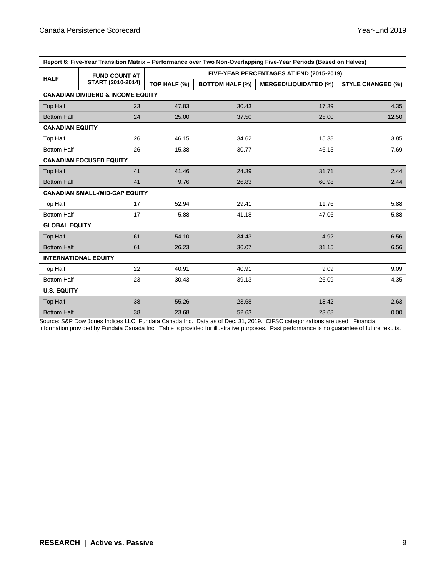| Report 6: Five-Year Transition Matrix - Performance over Two Non-Overlapping Five-Year Periods (Based on Halves) |                                       |                                          |                        |                              |                          |  |  |  |
|------------------------------------------------------------------------------------------------------------------|---------------------------------------|------------------------------------------|------------------------|------------------------------|--------------------------|--|--|--|
| <b>HALF</b>                                                                                                      | <b>FUND COUNT AT</b>                  | FIVE-YEAR PERCENTAGES AT END (2015-2019) |                        |                              |                          |  |  |  |
| START (2010-2014)                                                                                                |                                       | TOP HALF (%)                             | <b>BOTTOM HALF (%)</b> | <b>MERGED/LIQUIDATED (%)</b> | <b>STYLE CHANGED (%)</b> |  |  |  |
| <b>CANADIAN DIVIDEND &amp; INCOME EQUITY</b>                                                                     |                                       |                                          |                        |                              |                          |  |  |  |
| <b>Top Half</b>                                                                                                  | 23                                    | 47.83                                    | 30.43                  | 17.39                        | 4.35                     |  |  |  |
| <b>Bottom Half</b>                                                                                               | 24                                    | 25.00                                    | 37.50                  | 25.00                        | 12.50                    |  |  |  |
| <b>CANADIAN EQUITY</b>                                                                                           |                                       |                                          |                        |                              |                          |  |  |  |
| Top Half                                                                                                         | 26                                    | 46.15                                    | 34.62                  | 15.38                        | 3.85                     |  |  |  |
| <b>Bottom Half</b>                                                                                               | 26                                    | 15.38                                    | 30.77                  | 46.15                        | 7.69                     |  |  |  |
|                                                                                                                  | <b>CANADIAN FOCUSED EQUITY</b>        |                                          |                        |                              |                          |  |  |  |
| Top Half                                                                                                         | 41                                    | 41.46                                    | 24.39                  | 31.71                        | 2.44                     |  |  |  |
| <b>Bottom Half</b>                                                                                               | 41                                    | 9.76                                     | 26.83                  | 60.98                        | 2.44                     |  |  |  |
|                                                                                                                  | <b>CANADIAN SMALL-/MID-CAP EQUITY</b> |                                          |                        |                              |                          |  |  |  |
| <b>Top Half</b>                                                                                                  | 17                                    | 52.94                                    | 29.41                  | 11.76                        | 5.88                     |  |  |  |
| <b>Bottom Half</b>                                                                                               | 17                                    | 5.88                                     | 41.18                  | 47.06                        | 5.88                     |  |  |  |
| <b>GLOBAL EQUITY</b>                                                                                             |                                       |                                          |                        |                              |                          |  |  |  |
| <b>Top Half</b>                                                                                                  | 61                                    | 54.10                                    | 34.43                  | 4.92                         | 6.56                     |  |  |  |
| <b>Bottom Half</b>                                                                                               | 61                                    | 26.23                                    | 36.07                  | 31.15                        | 6.56                     |  |  |  |
|                                                                                                                  | <b>INTERNATIONAL EQUITY</b>           |                                          |                        |                              |                          |  |  |  |
| Top Half                                                                                                         | 22                                    | 40.91                                    | 40.91                  | 9.09                         | 9.09                     |  |  |  |
| <b>Bottom Half</b>                                                                                               | 23                                    | 30.43                                    | 39.13                  | 26.09                        | 4.35                     |  |  |  |
| <b>U.S. EQUITY</b>                                                                                               |                                       |                                          |                        |                              |                          |  |  |  |
| Top Half                                                                                                         | 38                                    | 55.26                                    | 23.68                  | 18.42                        | 2.63                     |  |  |  |
| <b>Bottom Half</b>                                                                                               | 38                                    | 23.68                                    | 52.63                  | 23.68                        | 0.00                     |  |  |  |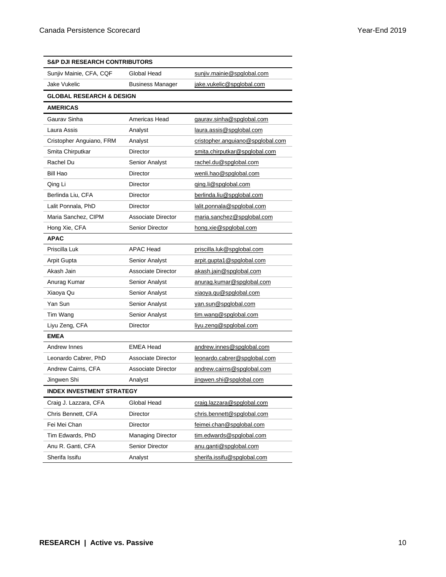| <b>S&amp;P DJI RESEARCH CONTRIBUTORS</b> |                                                      |                                  |  |  |  |
|------------------------------------------|------------------------------------------------------|----------------------------------|--|--|--|
| Sunjiv Mainie, CFA, CQF                  | Global Head<br>sunjiv.mainie@spglobal.com            |                                  |  |  |  |
| Jake Vukelic                             | <b>Business Manager</b><br>jake.vukelic@spglobal.com |                                  |  |  |  |
| <b>GLOBAL RESEARCH &amp; DESIGN</b>      |                                                      |                                  |  |  |  |
| <b>AMERICAS</b>                          |                                                      |                                  |  |  |  |
| Gaurav Sinha                             | Americas Head                                        | gaurav.sinha@spglobal.com        |  |  |  |
| Laura Assis                              | Analyst                                              | laura.assis@spglobal.com         |  |  |  |
| Cristopher Anguiano, FRM                 | Analyst                                              | cristopher.anguiano@spglobal.com |  |  |  |
| Smita Chirputkar                         | Director                                             | smita.chirputkar@spglobal.com    |  |  |  |
| Rachel Du                                | Senior Analyst                                       | rachel.du@spglobal.com           |  |  |  |
| Bill Hao                                 | Director                                             | wenli.hao@spglobal.com           |  |  |  |
| Qing Li                                  | Director                                             | ging.li@spglobal.com             |  |  |  |
| Berlinda Liu, CFA                        | Director                                             | berlinda.liu@spglobal.com        |  |  |  |
| Lalit Ponnala, PhD                       | Director                                             | lalit.ponnala@spglobal.com       |  |  |  |
| Maria Sanchez, CIPM                      | Associate Director                                   | maria.sanchez@spglobal.com       |  |  |  |
| Hong Xie, CFA                            | Senior Director                                      | hong.xie@spglobal.com            |  |  |  |
| <b>APAC</b>                              |                                                      |                                  |  |  |  |
| Priscilla Luk                            | <b>APAC Head</b>                                     | priscilla.luk@spglobal.com       |  |  |  |
| Arpit Gupta                              | <b>Senior Analyst</b>                                | arpit.gupta1@spglobal.com        |  |  |  |
| Akash Jain                               | <b>Associate Director</b>                            | akash.jain@spglobal.com          |  |  |  |
| Anurag Kumar                             | <b>Senior Analyst</b>                                | anurag.kumar@spglobal.com        |  |  |  |
| Xiaoya Qu                                | Senior Analyst                                       | xiaoya.qu@spglobal.com           |  |  |  |
| Yan Sun                                  | Senior Analyst                                       | yan.sun@spglobal.com             |  |  |  |
| Tim Wang                                 | Senior Analyst                                       | tim.wang@spglobal.com            |  |  |  |
| Liyu Zeng, CFA                           | Director                                             | liyu.zeng@spglobal.com           |  |  |  |
| <b>EMEA</b>                              |                                                      |                                  |  |  |  |
| Andrew Innes                             | <b>EMEA Head</b>                                     | andrew.innes@spglobal.com        |  |  |  |
| Leonardo Cabrer, PhD                     | Associate Director                                   | leonardo.cabrer@spglobal.com     |  |  |  |
| Andrew Cairns, CFA                       | Associate Director                                   | andrew.cairns@spglobal.com       |  |  |  |
| Jingwen Shi                              | Analyst                                              | jingwen.shi@spglobal.com         |  |  |  |
| <b>INDEX INVESTMENT STRATEGY</b>         |                                                      |                                  |  |  |  |
| Craig J. Lazzara, CFA                    | Global Head                                          | craig.lazzara@spglobal.com       |  |  |  |
| Chris Bennett, CFA                       | <b>Director</b>                                      | chris.bennett@spglobal.com       |  |  |  |
| Fei Mei Chan                             | Director                                             | feimei.chan@spglobal.com         |  |  |  |
| Tim Edwards, PhD                         | Managing Director                                    | tim.edwards@spglobal.com         |  |  |  |
| Anu R. Ganti, CFA                        | Senior Director<br>anu.ganti@spglobal.com            |                                  |  |  |  |
| Sherifa Issifu                           | Analyst                                              | sherifa.issifu@spglobal.com      |  |  |  |